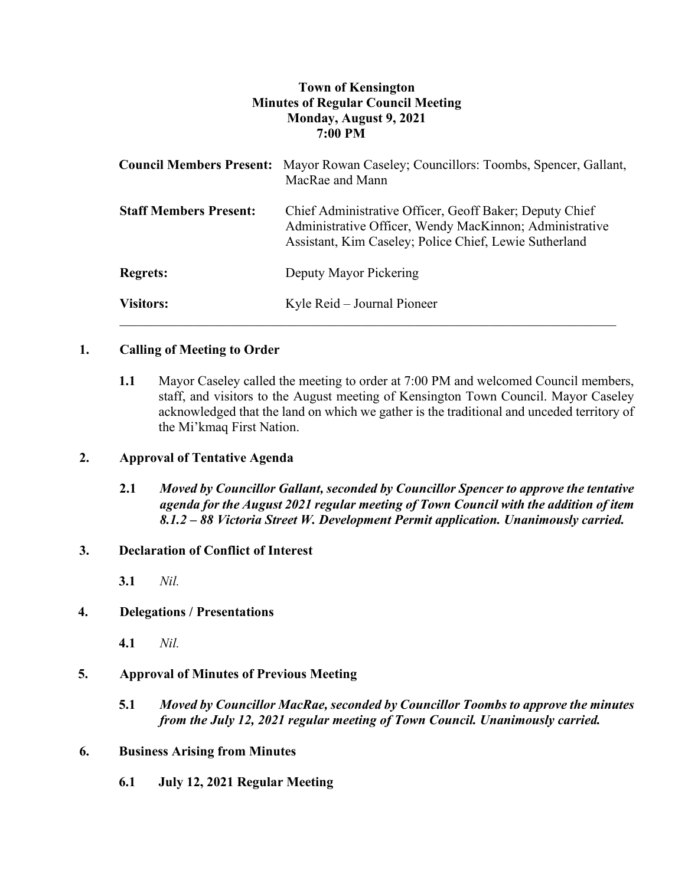## **Town of Kensington Minutes of Regular Council Meeting Monday, August 9, 2021 7:00 PM**

|                               | <b>Council Members Present:</b> Mayor Rowan Caseley; Councillors: Toombs, Spencer, Gallant,<br>MacRae and Mann                                                               |
|-------------------------------|------------------------------------------------------------------------------------------------------------------------------------------------------------------------------|
| <b>Staff Members Present:</b> | Chief Administrative Officer, Geoff Baker; Deputy Chief<br>Administrative Officer, Wendy MacKinnon; Administrative<br>Assistant, Kim Caseley; Police Chief, Lewie Sutherland |
| <b>Regrets:</b>               | Deputy Mayor Pickering                                                                                                                                                       |
| <b>Visitors:</b>              | Kyle Reid – Journal Pioneer                                                                                                                                                  |

## **1. Calling of Meeting to Order**

**1.1** Mayor Caseley called the meeting to order at 7:00 PM and welcomed Council members, staff, and visitors to the August meeting of Kensington Town Council. Mayor Caseley acknowledged that the land on which we gather is the traditional and unceded territory of the Mi'kmaq First Nation.

## **2. Approval of Tentative Agenda**

**2.1** *Moved by Councillor Gallant, seconded by Councillor Spencer to approve the tentative agenda for the August 2021 regular meeting of Town Council with the addition of item 8.1.2 – 88 Victoria Street W. Development Permit application. Unanimously carried.*

## **3. Declaration of Conflict of Interest**

**3.1** *Nil.*

## **4. Delegations / Presentations**

**4.1** *Nil.*

# **5. Approval of Minutes of Previous Meeting**

**5.1** *Moved by Councillor MacRae, seconded by Councillor Toombs to approve the minutes from the July 12, 2021 regular meeting of Town Council. Unanimously carried.*

## **6. Business Arising from Minutes**

**6.1 July 12, 2021 Regular Meeting**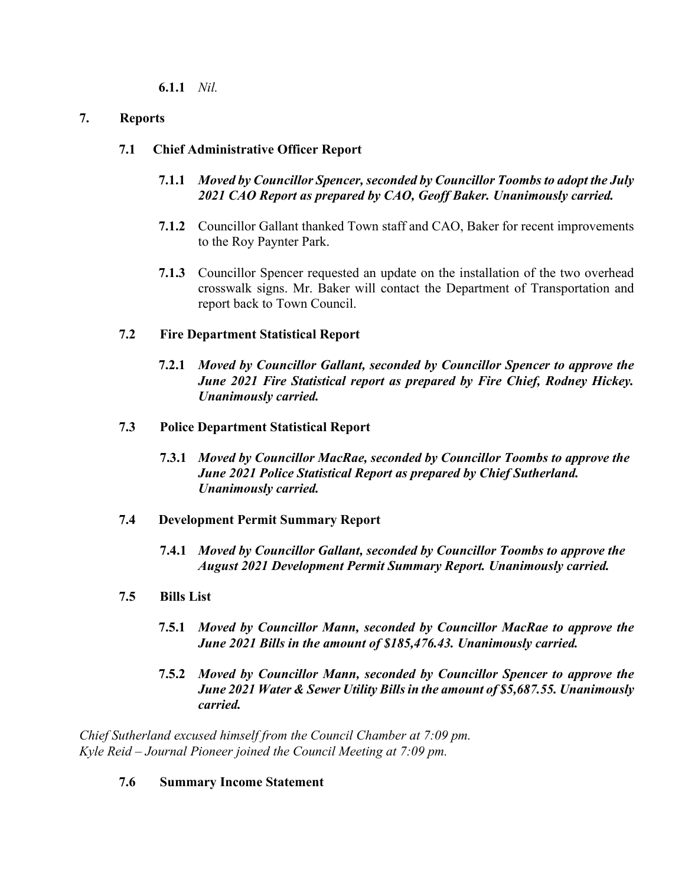**6.1.1** *Nil.*

## **7. Reports**

## **7.1 Chief Administrative Officer Report**

- **7.1.1** *Moved by Councillor Spencer, seconded by Councillor Toombs to adopt the July 2021 CAO Report as prepared by CAO, Geoff Baker. Unanimously carried.*
- **7.1.2** Councillor Gallant thanked Town staff and CAO, Baker for recent improvements to the Roy Paynter Park.
- **7.1.3** Councillor Spencer requested an update on the installation of the two overhead crosswalk signs. Mr. Baker will contact the Department of Transportation and report back to Town Council.

## **7.2 Fire Department Statistical Report**

**7.2.1** *Moved by Councillor Gallant, seconded by Councillor Spencer to approve the June 2021 Fire Statistical report as prepared by Fire Chief, Rodney Hickey. Unanimously carried.*

## **7.3 Police Department Statistical Report**

**7.3.1** *Moved by Councillor MacRae, seconded by Councillor Toombs to approve the June 2021 Police Statistical Report as prepared by Chief Sutherland. Unanimously carried.*

## **7.4 Development Permit Summary Report**

- **7.4.1** *Moved by Councillor Gallant, seconded by Councillor Toombs to approve the August 2021 Development Permit Summary Report. Unanimously carried.*
- **7.5 Bills List** 
	- **7.5.1** *Moved by Councillor Mann, seconded by Councillor MacRae to approve the June 2021 Bills in the amount of \$185,476.43. Unanimously carried.*
	- **7.5.2** *Moved by Councillor Mann, seconded by Councillor Spencer to approve the June 2021 Water & Sewer Utility Bills in the amount of \$5,687.55. Unanimously carried.*

*Chief Sutherland excused himself from the Council Chamber at 7:09 pm. Kyle Reid – Journal Pioneer joined the Council Meeting at 7:09 pm.*

## **7.6 Summary Income Statement**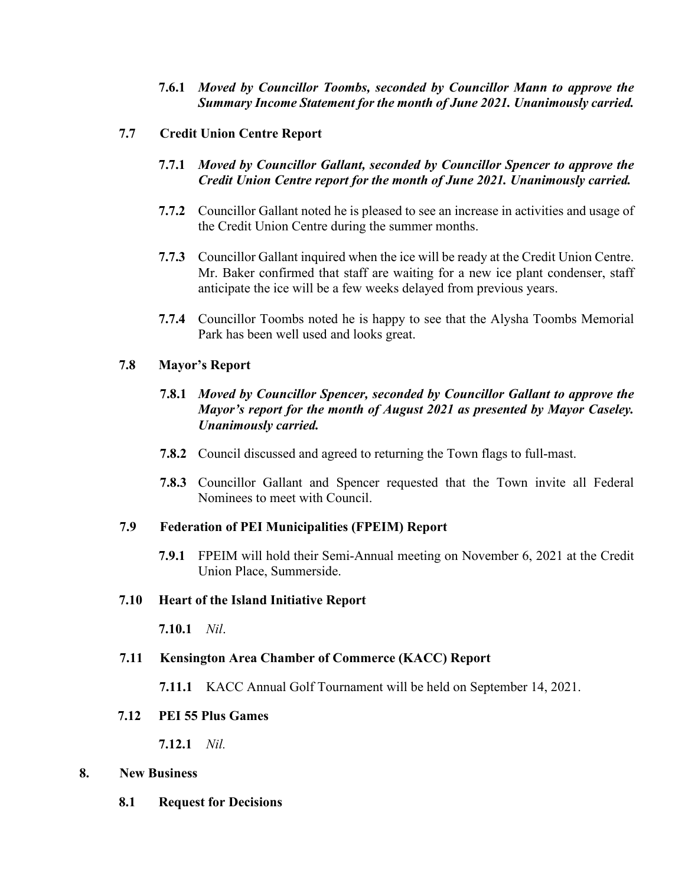- **7.6.1** *Moved by Councillor Toombs, seconded by Councillor Mann to approve the Summary Income Statement for the month of June 2021. Unanimously carried.*
- **7.7 Credit Union Centre Report**
	- **7.7.1** *Moved by Councillor Gallant, seconded by Councillor Spencer to approve the Credit Union Centre report for the month of June 2021. Unanimously carried.*
	- **7.7.2** Councillor Gallant noted he is pleased to see an increase in activities and usage of the Credit Union Centre during the summer months.
	- **7.7.3** Councillor Gallant inquired when the ice will be ready at the Credit Union Centre. Mr. Baker confirmed that staff are waiting for a new ice plant condenser, staff anticipate the ice will be a few weeks delayed from previous years.
	- **7.7.4** Councillor Toombs noted he is happy to see that the Alysha Toombs Memorial Park has been well used and looks great.

## **7.8 Mayor's Report**

- **7.8.1** *Moved by Councillor Spencer, seconded by Councillor Gallant to approve the Mayor's report for the month of August 2021 as presented by Mayor Caseley. Unanimously carried.*
- **7.8.2** Council discussed and agreed to returning the Town flags to full-mast.
- **7.8.3** Councillor Gallant and Spencer requested that the Town invite all Federal Nominees to meet with Council.

## **7.9 Federation of PEI Municipalities (FPEIM) Report**

**7.9.1** FPEIM will hold their Semi-Annual meeting on November 6, 2021 at the Credit Union Place, Summerside.

#### **7.10 Heart of the Island Initiative Report**

**7.10.1** *Nil*.

## **7.11 Kensington Area Chamber of Commerce (KACC) Report**

**7.11.1** KACC Annual Golf Tournament will be held on September 14, 2021.

#### **7.12 PEI 55 Plus Games**

**7.12.1** *Nil.*

#### **8. New Business**

**8.1 Request for Decisions**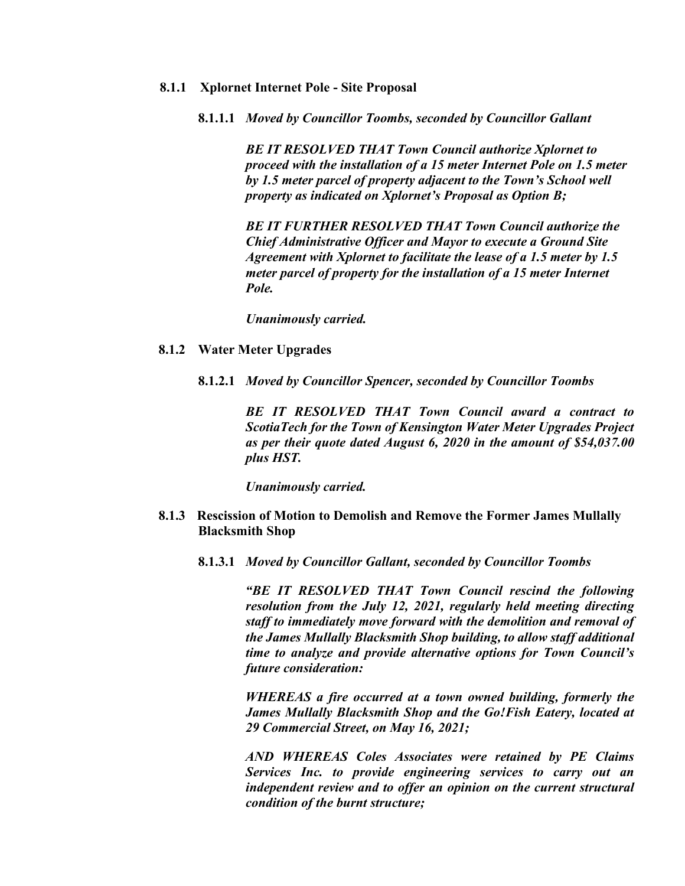#### **8.1.1 Xplornet Internet Pole - Site Proposal**

**8.1.1.1** *Moved by Councillor Toombs, seconded by Councillor Gallant*

*BE IT RESOLVED THAT Town Council authorize Xplornet to proceed with the installation of a 15 meter Internet Pole on 1.5 meter by 1.5 meter parcel of property adjacent to the Town's School well property as indicated on Xplornet's Proposal as Option B;*

*BE IT FURTHER RESOLVED THAT Town Council authorize the Chief Administrative Officer and Mayor to execute a Ground Site Agreement with Xplornet to facilitate the lease of a 1.5 meter by 1.5 meter parcel of property for the installation of a 15 meter Internet Pole.*

*Unanimously carried.* 

#### **8.1.2 Water Meter Upgrades**

**8.1.2.1** *Moved by Councillor Spencer, seconded by Councillor Toombs*

*BE IT RESOLVED THAT Town Council award a contract to ScotiaTech for the Town of Kensington Water Meter Upgrades Project as per their quote dated August 6, 2020 in the amount of \$54,037.00 plus HST.*

*Unanimously carried.*

- **8.1.3 Rescission of Motion to Demolish and Remove the Former James Mullally Blacksmith Shop**
	- **8.1.3.1** *Moved by Councillor Gallant, seconded by Councillor Toombs*

*"BE IT RESOLVED THAT Town Council rescind the following resolution from the July 12, 2021, regularly held meeting directing staff to immediately move forward with the demolition and removal of the James Mullally Blacksmith Shop building, to allow staff additional time to analyze and provide alternative options for Town Council's future consideration:*

*WHEREAS a fire occurred at a town owned building, formerly the James Mullally Blacksmith Shop and the Go!Fish Eatery, located at 29 Commercial Street, on May 16, 2021;*

*AND WHEREAS Coles Associates were retained by PE Claims Services Inc. to provide engineering services to carry out an independent review and to offer an opinion on the current structural condition of the burnt structure;*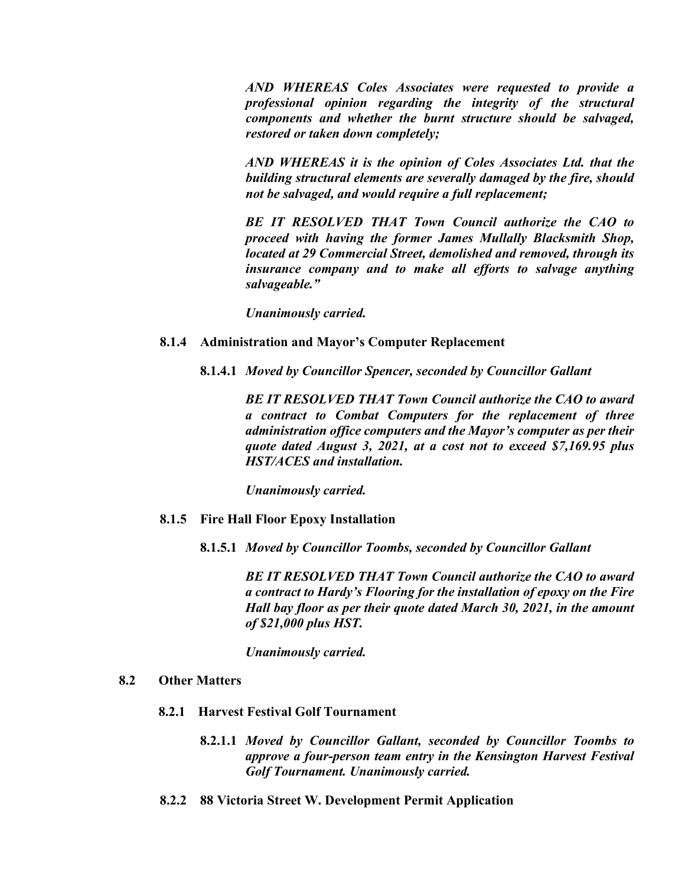*AND WHEREAS Coles Associates were requested to provide a professional opinion regarding the integrity of the structural components and whether the burnt structure should be salvaged, restored or taken down completely;*

*AND WHEREAS it is the opinion of Coles Associates Ltd. that the building structural elements are severally damaged by the fire, should not be salvaged, and would require a full replacement;*

*BE IT RESOLVED THAT Town Council authorize the CAO to proceed with having the former James Mullally Blacksmith Shop, located at 29 Commercial Street, demolished and removed, through its insurance company and to make all efforts to salvage anything salvageable."*

*Unanimously carried.*

#### **8.1.4 Administration and Mayor's Computer Replacement**

**8.1.4.1** *Moved by Councillor Spencer, seconded by Councillor Gallant*

*BE IT RESOLVED THAT Town Council authorize the CAO to award a contract to Combat Computers for the replacement of three administration office computers and the Mayor's computer as per their quote dated August 3, 2021, at a cost not to exceed \$7,169.95 plus HST/ACES and installation.*

*Unanimously carried.* 

- **8.1.5 Fire Hall Floor Epoxy Installation**
	- **8.1.5.1** *Moved by Councillor Toombs, seconded by Councillor Gallant*

*BE IT RESOLVED THAT Town Council authorize the CAO to award a contract to Hardy's Flooring for the installation of epoxy on the Fire Hall bay floor as per their quote dated March 30, 2021, in the amount of \$21,000 plus HST.*

*Unanimously carried.* 

#### **8.2 Other Matters**

- **8.2.1 Harvest Festival Golf Tournament**
	- **8.2.1.1** *Moved by Councillor Gallant, seconded by Councillor Toombs to approve a four-person team entry in the Kensington Harvest Festival Golf Tournament. Unanimously carried.*
- **8.2.2 88 Victoria Street W. Development Permit Application**